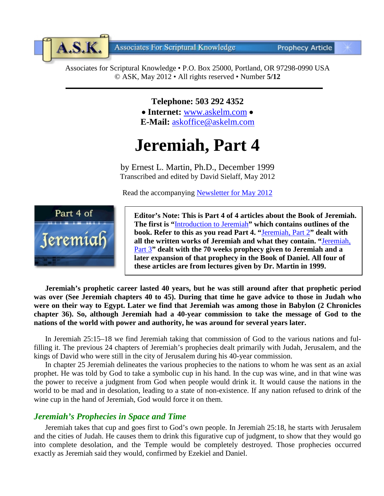**Associates For Scriptural Knowledge** 

**Prophecy Article** 

Associates for Scriptural Knowledge • P.O. Box 25000, Portland, OR 97298-0990 USA © ASK, May 2012 • All rights reserved • Number **5/12**

> **Telephone: 503 292 4352** • **Internet:** [www.askelm.com](http://www.askelm.com/) • **E-Mail:** [askoffice@askelm.com](mailto:askoffice@askelm.com)

# **Jeremiah, Part 4**

by Ernest L. Martin, Ph.D., December 1999 Transcribed and edited by David Sielaff, May 2012

Read the accompanying [Newsletter for May](http://www.askelm.com/newsletter/l201204.pdf) 2012



 $A.S.K.$ 

**Editor's Note: This is Part 4 of 4 articles about the Book of Jeremiah. The first is "**[Introduction to Jeremiah](http://www.askelm.com/prophecy/p100901.pdf)**" which contains outlines of the book. Refer to this as you read Part 4. "**[Jeremiah, Part 2](http://www.askelm.com/prophecy/p120201.pdf)**" dealt with all the written works of Jeremiah and what they contain. "**[Jeremiah,](http://www.askelm.com/prophecy/p120401.pdf)  [Part 3](http://www.askelm.com/prophecy/p120401.pdf)**" dealt with the 70 weeks prophecy given to Jeremiah and a later expansion of that prophecy in the Book of Daniel. All four of these articles are from lectures given by Dr. Martin in 1999.**

**Jeremiah's prophetic career lasted 40 years, but he was still around after that prophetic period was over (See Jeremiah chapters 40 to 45). During that time he gave advice to those in Judah who were on their way to Egypt. Later we find that Jeremiah was among those in Babylon (2 Chronicles chapter 36). So, although Jeremiah had a 40-year commission to take the message of God to the nations of the world with power and authority, he was around for several years later.**

In Jeremiah 25:15–18 we find Jeremiah taking that commission of God to the various nations and fulfilling it. The previous 24 chapters of Jeremiah's prophecies dealt primarily with Judah, Jerusalem, and the kings of David who were still in the city of Jerusalem during his 40-year commission.

In chapter 25 Jeremiah delineates the various prophecies to the nations to whom he was sent as an axial prophet. He was told by God to take a symbolic cup in his hand. In the cup was wine, and in that wine was the power to receive a judgment from God when people would drink it. It would cause the nations in the world to be mad and in desolation, leading to a state of non-existence. If any nation refused to drink of the wine cup in the hand of Jeremiah, God would force it on them.

# *Jeremiah's Prophecies in Space and Time*

Jeremiah takes that cup and goes first to God's own people. In Jeremiah 25:18, he starts with Jerusalem and the cities of Judah. He causes them to drink this figurative cup of judgment, to show that they would go into complete desolation, and the Temple would be completely destroyed. Those prophecies occurred exactly as Jeremiah said they would, confirmed by Ezekiel and Daniel.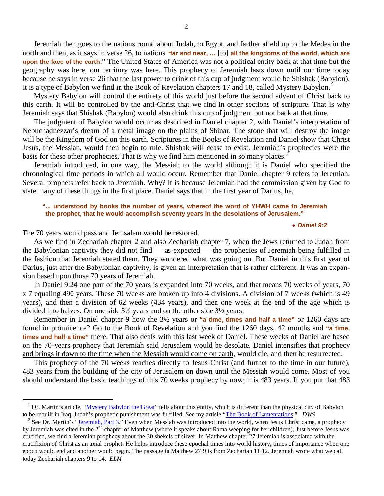Jeremiah then goes to the nations round about Judah, to Egypt, and farther afield up to the Medes in the north and then, as it says in verse 26, to nations **"far and near, …** [to] **all the kingdoms of the world, which are upon the face of the earth**." The United States of America was not a political entity back at that time but the geography was here, our territory was here. This prophecy of Jeremiah lasts down until our time today because he says in verse 26 that the last power to drink of this cup of judgment would be Shishak (Babylon). It is a type of Babylon we find in the Book of Revelation chapters [1](#page-1-0)7 and 18, called Mystery Babylon.<sup>1</sup>

Mystery Babylon will control the entirety of this world just before the second advent of Christ back to this earth. It will be controlled by the anti-Christ that we find in other sections of scripture. That is why Jeremiah says that Shishak (Babylon) would also drink this cup of judgment but not back at that time.

The judgment of Babylon would occur as described in Daniel chapter 2, with Daniel's interpretation of Nebuchadnezzar's dream of a metal image on the plains of Shinar. The stone that will destroy the image will be the Kingdom of God on this earth. Scriptures in the Books of Revelation and Daniel show that Christ Jesus, the Messiah, would then begin to rule. Shishak will cease to exist. Jeremiah's prophecies were the basis for these other prophecies. That is why we find him mentioned in so many places.<sup>[2](#page-1-1)</sup>

Jeremiah introduced, in one way, the Messiah to the world although it is Daniel who specified the chronological time periods in which all would occur. Remember that Daniel chapter 9 refers to Jeremiah. Several prophets refer back to Jeremiah. Why? It is because Jeremiah had the commission given by God to state many of these things in the first place. Daniel says that in the first year of Darius, he,

# **"... understood by books the number of years, whereof the word of YHWH came to Jeremiah the prophet, that he would accomplish seventy years in the desolations of Jerusalem."**

#### • *Daniel 9:2*

The 70 years would pass and Jerusalem would be restored.

As we find in Zechariah chapter 2 and also Zechariah chapter 7, when the Jews returned to Judah from the Babylonian captivity they did not find — as expected — the prophecies of Jeremiah being fulfilled in the fashion that Jeremiah stated them. They wondered what was going on. But Daniel in this first year of Darius, just after the Babylonian captivity, is given an interpretation that is rather different. It was an expansion based upon those 70 years of Jeremiah.

In Daniel 9:24 one part of the 70 years is expanded into 70 weeks, and that means 70 weeks of years, 70 x 7 equaling 490 years. These 70 weeks are broken up into 4 divisions. A division of 7 weeks (which is 49 years), and then a division of 62 weeks (434 years), and then one week at the end of the age which is divided into halves. On one side 3½ years and on the other side 3½ years.

Remember in Daniel chapter 9 how the 3½ years or **"a time, times and half a time"** or 1260 days are found in prominence? Go to the Book of Revelation and you find the 1260 days, 42 months and **"a time, times and half a time"** there. That also deals with this last week of Daniel. These weeks of Daniel are based on the 70-years prophecy that Jeremiah said Jerusalem would be desolate. Daniel intensifies that prophecy and brings it down to the time when the Messiah would come on earth, would die, and then be resurrected.

This prophecy of the 70 weeks reaches directly to Jesus Christ (and further to the time in our future), 483 years from the building of the city of Jerusalem on down until the Messiah would come. Most of you should understand the basic teachings of this 70 weeks prophecy by now; it is 483 years. If you put that 483

<span id="page-1-0"></span><sup>&</sup>lt;sup>1</sup> Dr. Martin's article, " $M$ ystery Babylon the Great" tells about this entity, which is different than the physical city of Babylon to be rebuilt in Iraq. Judah's prophetic punishment was fulfilled. See my article "The

<span id="page-1-1"></span> $2^2$  See Dr. Martin's ["Jeremiah, Part 3."](http://www.askelm.com/prophecy/p120401.PDF) Even when Messiah was introduced into the world, when Jesus Christ came, a prophecy by Jeremiah was cited in the 2<sup>nd</sup> chapter of Matthew (where it speaks about Rama weeping for her children). Just before Jesus was crucified, we find a Jeremian prophecy about the 30 shekels of silver. In Matthew chapter 27 Jeremiah is associated with the crucifixion of Christ as an axial prophet. He helps introduce these epochal times into world history, times of importance when one epoch would end and another would begin. The passage in Matthew 27:9 is from Zechariah 11:12. Jeremiah wrote what we call today Zechariah chapters 9 to 14. *ELM*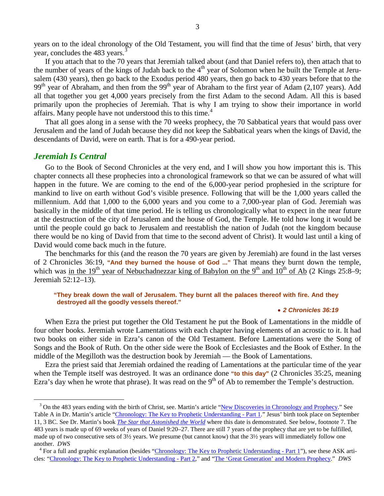years on to the ideal chronology of the Old Testament, you will find that the time of Jesus' birth, that very year, concludes the 48[3](#page-2-0) years.

If you attach that to the 70 years that Jeremiah talked about (and that Daniel refers to), then attach that to the number of years of the kings of Judah back to the  $4<sup>th</sup>$  year of Solomon when he built the Temple at Jerusalem (430 years), then go back to the Exodus period 480 years, then go back to 430 years before that to the 99<sup>th</sup> year of Abraham, and then from the 99<sup>th</sup> year of Abraham to the first year of Adam (2,107 years). Add all that together you get 4,000 years precisely from the first Adam to the second Adam. All this is based primarily upon the prophecies of Jeremiah. That is why I am trying to show their importance in world affairs. Many people have not understood this to this time.<sup>[4](#page-2-1)</sup>

That all goes along in a sense with the 70 weeks prophecy, the 70 Sabbatical years that would pass over Jerusalem and the land of Judah because they did not keep the Sabbatical years when the kings of David, the descendants of David, were on earth. That is for a 490-year period.

# *Jeremiah Is Central*

Go to the Book of Second Chronicles at the very end, and I will show you how important this is. This chapter connects all these prophecies into a chronological framework so that we can be assured of what will happen in the future. We are coming to the end of the 6,000-year period prophesied in the scripture for mankind to live on earth without God's visible presence. Following that will be the 1,000 years called the millennium. Add that 1,000 to the 6,000 years and you come to a 7,000-year plan of God. Jeremiah was basically in the middle of that time period. He is telling us chronologically what to expect in the near future at the destruction of the city of Jerusalem and the house of God, the Temple. He told how long it would be until the people could go back to Jerusalem and reestablish the nation of Judah (not the kingdom because there would be no king of David from that time to the second advent of Christ). It would last until a king of David would come back much in the future.

The benchmarks for this (and the reason the 70 years are given by Jeremiah) are found in the last verses of 2 Chronicles 36:19, **"And they burned the house of God ..."** That means they burnt down the temple, which was in the 19<sup>th</sup> year of Nebuchadnezzar king of Babylon on the 9<sup>th</sup> and 10<sup>th</sup> of Ab (2 Kings 25:8–9; Jeremiah 52:12–13).

#### **"They break down the wall of Jerusalem. They burnt all the palaces thereof with fire. And they destroyed all the goodly vessels thereof."**

#### • *2 Chronicles 36:19*

When Ezra the priest put together the Old Testament he put the Book of Lamentations in the middle of four other books. Jeremiah wrote Lamentations with each chapter having elements of an acrostic to it. It had two books on either side in Ezra's canon of the Old Testament. Before Lamentations were the Song of Songs and the Book of Ruth. On the other side were the Book of Ecclesiastes and the Book of Esther. In the middle of the Megilloth was the destruction book by Jeremiah — the Book of Lamentations.

Ezra the priest said that Jeremiah ordained the reading of Lamentations at the particular time of the year when the Temple itself was destroyed. It was an ordinance done "to this day" (2 Chronicles 35:25, meaning Ezra's day when he wrote that phrase). It was read on the  $9<sup>th</sup>$  of Ab to remember the Temple's destruction.

<span id="page-2-0"></span><sup>&</sup>lt;sup>3</sup> On the 483 years ending with the birth of Christ, see. Martin's article ["New Discoveries in Chronology and Prophecy.](http://www.askelm.com/prophecy/p021102.htm)" See Table A in Dr. Martin's article ["Chronology: The Key to Prophetic Understanding -](http://www.askelm.com/prophecy/p900901.htm) Part 1." Jesus' birth took place on September 11, 3 BC. See Dr. Martin's book *[The Star that Astonished the World](http://askelm.com/star/index.asp)* where this date is demonstrated*.* See below, footnote 7. The 483 years is made up of 69 weeks of years of Daniel 9:20–27. There are still 7 years of the prophecy that are yet to be fulfilled, made up of two consecutive sets of 3½ years. We presume (but cannot know) that the 3½ years will immediately follow one another. *DWS*<br><sup>4</sup> For a full and graphic explanation (besides ["Chronology: The Key to Prophetic Understanding -](http://www.askelm.com/prophecy/p900901.htm) Part 1"), see these ASK arti-

<span id="page-2-1"></span>cles: ["Chronology: The Key to Prophetic Understanding -](http://www.askelm.com/prophecy/p900902.htm) Part 2," and ["The 'Great Generation' and Modern Prophecy."](http://www.askelm.com/prophecy/p021201.htm) *DWS*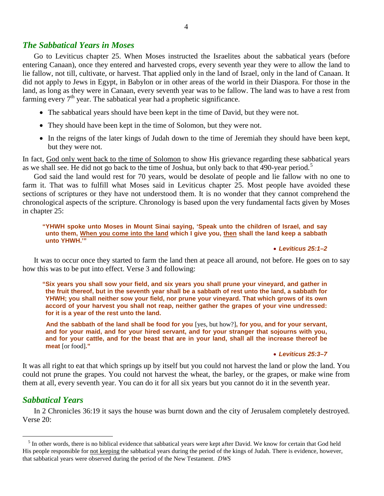# *The Sabbatical Years in Moses*

Go to Leviticus chapter 25. When Moses instructed the Israelites about the sabbatical years (before entering Canaan), once they entered and harvested crops, every seventh year they were to allow the land to lie fallow, not till, cultivate, or harvest. That applied only in the land of Israel, only in the land of Canaan. It did not apply to Jews in Egypt, in Babylon or in other areas of the world in their Diaspora. For those in the land, as long as they were in Canaan, every seventh year was to be fallow. The land was to have a rest from farming every  $7<sup>th</sup>$  year. The sabbatical year had a prophetic significance.

- The sabbatical years should have been kept in the time of David, but they were not.
- They should have been kept in the time of Solomon, but they were not.
- In the reigns of the later kings of Judah down to the time of Jeremiah they should have been kept, but they were not.

In fact, God only went back to the time of Solomon to show His grievance regarding these sabbatical years as we shall see. He did not go back to the time of Joshua, but only back to that 490-year period.<sup>[5](#page-3-0)</sup>

God said the land would rest for 70 years, would be desolate of people and lie fallow with no one to farm it. That was to fulfill what Moses said in Leviticus chapter 25. Most people have avoided these sections of scriptures or they have not understood them. It is no wonder that they cannot comprehend the chronological aspects of the scripture. Chronology is based upon the very fundamental facts given by Moses in chapter 25:

## **"YHWH spoke unto Moses in Mount Sinai saying, 'Speak unto the children of Israel, and say unto them, When you come into the land which I give you, then shall the land keep a sabbath unto YHWH.'"**

## • *Leviticus 25:1–2*

It was to occur once they started to farm the land then at peace all around, not before. He goes on to say how this was to be put into effect. Verse 3 and following:

**"Six years you shall sow your field, and six years you shall prune your vineyard, and gather in the fruit thereof, but in the seventh year shall be a sabbath of rest unto the land, a sabbath for YHWH; you shall neither sow your field, nor prune your vineyard. That which grows of its own accord of your harvest you shall not reap, neither gather the grapes of your vine undressed: for it is a year of the rest unto the land.**

**And the sabbath of the land shall be food for you** [yes, but how?]**, for you, and for your servant, and for your maid, and for your hired servant, and for your stranger that sojourns with you, and for your cattle, and for the beast that are in your land, shall all the increase thereof be meat** [or food]**."**

#### • *Leviticus 25:3–7*

It was all right to eat that which springs up by itself but you could not harvest the land or plow the land. You could not prune the grapes. You could not harvest the wheat, the barley, or the grapes, or make wine from them at all, every seventh year. You can do it for all six years but you cannot do it in the seventh year.

# *Sabbatical Years*

In 2 Chronicles 36:19 it says the house was burnt down and the city of Jerusalem completely destroyed. Verse 20:

<span id="page-3-0"></span><sup>&</sup>lt;sup>5</sup> In other words, there is no biblical evidence that sabbatical years were kept after David. We know for certain that God held His people responsible for not keeping the sabbatical years during the period of the kings of Judah. There is evidence, however, that sabbatical years were observed during the period of the New Testament. *DWS*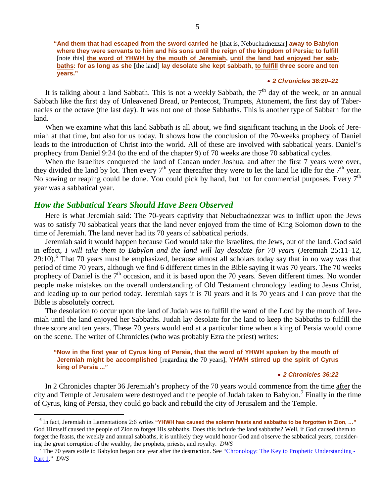**"And them that had escaped from the sword carried he** [that is, Nebuchadnezzar] **away to Babylon where they were servants to him and his sons until the reign of the kingdom of Persia; to fulfill**  [note this] **the word of YHWH by the mouth of Jeremiah, until the land had enjoyed her sabbaths: for as long as she** [the land] **lay desolate she kept sabbath, to fulfill three score and ten years."**

# • *2 Chronicles 36:20–21*

It is talking about a land Sabbath. This is not a weekly Sabbath, the  $7<sup>th</sup>$  day of the week, or an annual Sabbath like the first day of Unleavened Bread, or Pentecost, Trumpets, Atonement, the first day of Tabernacles or the octave (the last day). It was not one of those Sabbaths. This is another type of Sabbath for the land.

When we examine what this land Sabbath is all about, we find significant teaching in the Book of Jeremiah at that time, but also for us today. It shows how the conclusion of the 70-weeks prophecy of Daniel leads to the introduction of Christ into the world. All of these are involved with sabbatical years. Daniel's prophecy from Daniel 9:24 (to the end of the chapter 9) of 70 weeks are those 70 sabbatical cycles.

When the Israelites conquered the land of Canaan under Joshua, and after the first 7 years were over, they divided the land by lot. Then every  $7<sup>th</sup>$  year thereafter they were to let the land lie idle for the  $7<sup>th</sup>$  year. No sowing or reaping could be done. You could pick by hand, but not for commercial purposes. Every 7<sup>th</sup> year was a sabbatical year.

# *How the Sabbatical Years Should Have Been Observed*

Here is what Jeremiah said: The 70-years captivity that Nebuchadnezzar was to inflict upon the Jews was to satisfy 70 sabbatical years that the land never enjoyed from the time of King Solomon down to the time of Jeremiah. The land never had its 70 years of sabbatical periods.

Jeremiah said it would happen because God would take the Israelites, the Jews, out of the land. God said in effect, *I will take them to Babylon and the land will lay desolate for 70 years* (Jeremiah 25:11–12,  $29:10$ .<sup>[6](#page-4-0)</sup> That 70 years must be emphasized, because almost all scholars today say that in no way was that period of time 70 years, although we find 6 different times in the Bible saying it was 70 years. The 70 weeks prophecy of Daniel is the  $7<sup>th</sup>$  occasion, and it is based upon the 70 years. Seven different times. No wonder people make mistakes on the overall understanding of Old Testament chronology leading to Jesus Christ, and leading up to our period today. Jeremiah says it is 70 years and it is 70 years and I can prove that the Bible is absolutely correct.

The desolation to occur upon the land of Judah was to fulfill the word of the Lord by the mouth of Jeremiah until the land enjoyed her Sabbaths. Judah lay desolate for the land to keep the Sabbaths to fulfill the three score and ten years. These 70 years would end at a particular time when a king of Persia would come on the scene. The writer of Chronicles (who was probably Ezra the priest) writes:

# **"Now in the first year of Cyrus king of Persia, that the word of YHWH spoken by the mouth of Jeremiah might be accomplished** [regarding the 70 years]**, YHWH stirred up the spirit of Cyrus king of Persia ..."**

# • *2 Chronicles 36:22*

In 2 Chronicles chapter 36 Jeremiah's prophecy of the 70 years would commence from the time after the city and Temple of Jerusalem were destroyed and the people of Judah taken to Babylon.<sup>[7](#page-4-1)</sup> Finally in the time of Cyrus, king of Persia, they could go back and rebuild the city of Jerusalem and the Temple.

<span id="page-4-0"></span> <sup>6</sup> In fact, Jeremiah in Lamentations 2:6 writes **"YHWH has caused the solemn feasts and sabbaths to be forgotten in Zion, …"** God Himself caused the people of Zion to forget His sabbaths. Does this include the land sabbaths? Well, if God caused them to forget the feasts, the weekly and annual sabbaths, it is unlikely they would honor God and observe the sabbatical years, considering the great corruption of the wealthy, the prophets, priests, and royalty. *DWS*<br><sup>7</sup> The 70 years exile to Babylon began <u>one year after</u> the destruction. See ["Chronology: The Key to Prophetic Understanding -](http://www.askelm.com/prophecy/p900901.htm)

<span id="page-4-1"></span>[Part 1.](http://www.askelm.com/prophecy/p900901.htm)" *DWS*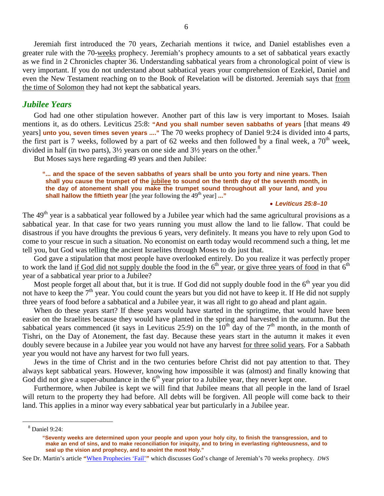Jeremiah first introduced the 70 years, Zechariah mentions it twice, and Daniel establishes even a greater rule with the 70-weeks prophecy. Jeremiah's prophecy amounts to a set of sabbatical years exactly as we find in 2 Chronicles chapter 36. Understanding sabbatical years from a chronological point of view is very important. If you do not understand about sabbatical years your comprehension of Ezekiel, Daniel and even the New Testament reaching on to the Book of Revelation will be distorted. Jeremiah says that from the time of Solomon they had not kept the sabbatical years.

# *Jubilee Years*

God had one other stipulation however. Another part of this law is very important to Moses. Isaiah mentions it, as do others. Leviticus 25:8: **"And you shall number seven sabbaths of years** [that means 49 years] **unto you, seven times seven years ...."** The 70 weeks prophecy of Daniel 9:24 is divided into 4 parts, the first part is 7 weeks, followed by a part of 62 weeks and then followed by a final week, a  $70<sup>th</sup>$  week, divided in half (in two parts),  $3\frac{1}{2}$  years on one side and  $3\frac{1}{2}$  years on the other.<sup>[8](#page-5-0)</sup>

But Moses says here regarding 49 years and then Jubilee:

# **"... and the space of the seven sabbaths of years shall be unto you forty and nine years. Then shall you cause the trumpet of the jubilee to sound on the tenth day of the seventh month, in the day of atonement shall you make the trumpet sound throughout all your land, and you**  shall hallow the fiftieth year [the year following the 49<sup>th</sup> year] ..."

#### • *Leviticus 25:8–10*

The 49<sup>th</sup> year is a sabbatical year followed by a Jubilee year which had the same agricultural provisions as a sabbatical year. In that case for two years running you must allow the land to lie fallow. That could be disastrous if you have droughts the previous 6 years, very definitely. It means you have to rely upon God to come to your rescue in such a situation. No economist on earth today would recommend such a thing, let me tell you, but God was telling the ancient Israelites through Moses to do just that.

God gave a stipulation that most people have overlooked entirely. Do you realize it was perfectly proper to work the land if God did not supply double the food in the  $6<sup>th</sup>$  year, or give three years of food in that  $6<sup>th</sup>$ year of a sabbatical year prior to a Jubilee?

Most people forget all about that, but it is true. If God did not supply double food in the  $6<sup>th</sup>$  year you did not have to keep the  $7<sup>th</sup>$  year. You could count the years but you did not have to keep it. If He did not supply three years of food before a sabbatical and a Jubilee year, it was all right to go ahead and plant again.

When do these years start? If these years would have started in the springtime, that would have been easier on the Israelites because they would have planted in the spring and harvested in the autumn. But the sabbatical years commenced (it says in Leviticus 25:9) on the  $10<sup>th</sup>$  day of the 7<sup>th</sup> month, in the month of Tishri, on the Day of Atonement, the fast day. Because these years start in the autumn it makes it even doubly severe because in a Jubilee year you would not have any harvest for three solid years. For a Sabbath year you would not have any harvest for two full years.

Jews in the time of Christ and in the two centuries before Christ did not pay attention to that. They always kept sabbatical years. However, knowing how impossible it was (almost) and finally knowing that God did not give a super-abundance in the  $6<sup>th</sup>$  year prior to a Jubilee year, they never kept one.

Furthermore, when Jubilee is kept we will find that Jubilee means that all people in the land of Israel will return to the property they had before. All debts will be forgiven. All people will come back to their land. This applies in a minor way every sabbatical year but particularly in a Jubilee year.

<span id="page-5-0"></span> <sup>8</sup> Daniel 9:24:

**<sup>&</sup>quot;Seventy weeks are determined upon your people and upon your holy city, to finish the transgression, and to make an end of sins, and to make reconciliation for iniquity, and to bring in everlasting righteousness, and to seal up the vision and prophecy, and to anoint the most Holy."** 

See Dr. Martin's article **"**[When Prophecies 'Fail'](http://www.askelm.com/prophecy/p090401.htm)**"** which discusses God's change of Jeremiah's 70 weeks prophecy. *DWS*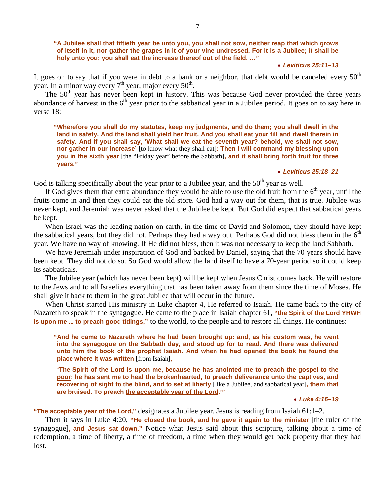## **"A Jubilee shall that fiftieth year be unto you, you shall not sow, neither reap that which grows of itself in it, nor gather the grapes in it of your vine undressed. For it is a Jubilee; it shall be holy unto you; you shall eat the increase thereof out of the field. …"**

## • *Leviticus 25:11–13*

It goes on to say that if you were in debt to a bank or a neighbor, that debt would be canceled every  $50<sup>th</sup>$ year. In a minor way every  $7<sup>th</sup>$  year, major every  $50<sup>th</sup>$ .

The 50<sup>th</sup> year has never been kept in history. This was because God never provided the three years abundance of harvest in the 6<sup>th</sup> year prior to the sabbatical year in a Jubilee period. It goes on to say here in verse 18:

**"Wherefore you shall do my statutes, keep my judgments, and do them; you shall dwell in the land in safety. And the land shall yield her fruit. And you shall eat your fill and dwell therein in safety. And if you shall say, 'What shall we eat the seventh year? behold, we shall not sow, nor gather in our increase'** [to know what they shall eat]**: Then I will command my blessing upon you in the sixth year** [the "Friday year" before the Sabbath]**, and it shall bring forth fruit for three years."**

#### • *Leviticus 25:18–21*

God is talking specifically about the year prior to a Jubilee year, and the  $50<sup>th</sup>$  year as well.

If God gives them that extra abundance they would be able to use the old fruit from the  $6<sup>th</sup>$  year, until the fruits come in and then they could eat the old store. God had a way out for them, that is true. Jubilee was never kept, and Jeremiah was never asked that the Jubilee be kept. But God did expect that sabbatical years be kept.

When Israel was the leading nation on earth, in the time of David and Solomon, they should have kept the sabbatical years, but they did not. Perhaps they had a way out. Perhaps God did not bless them in the  $6<sup>th</sup>$ year. We have no way of knowing. If He did not bless, then it was not necessary to keep the land Sabbath.

We have Jeremiah under inspiration of God and backed by Daniel, saying that the 70 years should have been kept. They did not do so. So God would allow the land itself to have a 70-year period so it could keep its sabbaticals.

The Jubilee year (which has never been kept) will be kept when Jesus Christ comes back. He will restore to the Jews and to all Israelites everything that has been taken away from them since the time of Moses. He shall give it back to them in the great Jubilee that will occur in the future.

When Christ started His ministry in Luke chapter 4, He referred to Isaiah. He came back to the city of Nazareth to speak in the synagogue. He came to the place in Isaiah chapter 61, **"the Spirit of the Lord YHWH is upon me ... to preach good tidings,"** to the world, to the people and to restore all things. He continues:

**"And he came to Nazareth where he had been brought up: and, as his custom was, he went into the synagogue on the Sabbath day, and stood up for to read. And there was delivered unto him the book of the prophet Isaiah. And when he had opened the book he found the place where it was written** [from Isaiah]**,**

**'The Spirit of the Lord is upon me, because he has anointed me to preach the gospel to the poor; he has sent me to heal the brokenhearted, to preach deliverance unto the captives, and recovering of sight to the blind, and to set at liberty** [like a Jubilee, and sabbatical year]**, them that are bruised. To preach the acceptable year of the Lord.'"**

• *Luke 4:16–19*

**"The acceptable year of the Lord,"** designates a Jubilee year. Jesus is reading from Isaiah 61:1–2.

Then it says in Luke 4:20, **"He closed the book, and he gave it again to the minister** [the ruler of the synagogue]**, and Jesus sat down."** Notice what Jesus said about this scripture, talking about a time of redemption, a time of liberty, a time of freedom, a time when they would get back property that they had lost.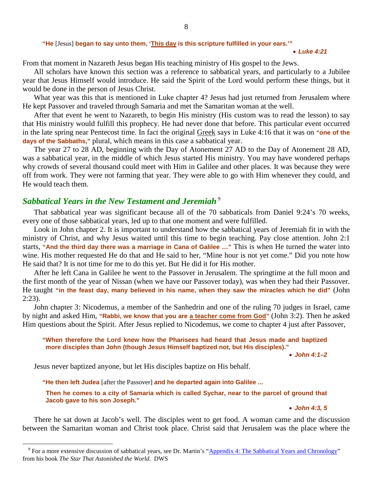#### **"He** [Jesus] **began to say unto them, 'This day is this scripture fulfilled in your ears.'"**

#### • *Luke 4:21*

From that moment in Nazareth Jesus began His teaching ministry of His gospel to the Jews.

All scholars have known this section was a reference to sabbatical years, and particularly to a Jubilee year that Jesus Himself would introduce. He said the Spirit of the Lord would perform these things, but it would be done in the person of Jesus Christ.

What year was this that is mentioned in Luke chapter 4? Jesus had just returned from Jerusalem where He kept Passover and traveled through Samaria and met the Samaritan woman at the well.

After that event he went to Nazareth, to begin His ministry (His custom was to read the lesson) to say that His ministry would fulfill this prophecy. He had never done that before. This particular event occurred in the late spring near Pentecost time. In fact the original Greek says in Luke 4:16 that it was on **"one of the days of the Sabbaths,"** plural, which means in this case a sabbatical year.

The year 27 to 28 AD, beginning with the Day of Atonement 27 AD to the Day of Atonement 28 AD, was a sabbatical year, in the middle of which Jesus started His ministry. You may have wondered perhaps why crowds of several thousand could meet with Him in Galilee and other places. It was because they were off from work. They were not farming that year. They were able to go with Him whenever they could, and He would teach them.

# *Sabbatical Years in the New Testament and Jeremiah* [9](#page-7-0)

That sabbatical year was significant because all of the 70 sabbaticals from Daniel 9:24's 70 weeks, every one of those sabbatical years, led up to that one moment and were fulfilled.

Look in John chapter 2. It is important to understand how the sabbatical years of Jeremiah fit in with the ministry of Christ, and why Jesus waited until this time to begin teaching. Pay close attention. John 2:1 starts, **"And the third day there was a marriage in Cana of Galilee …"** This is when He turned the water into wine. His mother requested He do that and He said to her, "Mine hour is not yet come." Did you note how He said that? It is not time for me to do this yet. But He did it for His mother.

After he left Cana in Galilee he went to the Passover in Jerusalem. The springtime at the full moon and the first month of the year of Nissan (when we have our Passover today), was when they had their Passover. He taught **"in the feast day, many believed in his name, when they saw the miracles which he did"** (John 2:23).

John chapter 3: Nicodemus, a member of the Sanhedrin and one of the ruling 70 judges in Israel, came by night and asked Him, **"Rabbi, we know that you are a teacher come from God"** (John 3:2). Then he asked Him questions about the Spirit. After Jesus replied to Nicodemus, we come to chapter 4 just after Passover,

## **"When therefore the Lord knew how the Pharisees had heard that Jesus made and baptized more disciples than John (though Jesus Himself baptized not, but His disciples)."**

• *John 4:1–2*

Jesus never baptized anyone, but let His disciples baptize on His behalf.

**"He then left Judea** [after the Passover] **and he departed again into Galilee ...** 

**Then he comes to a city of Samaria which is called Sychar, near to the parcel of ground that Jacob gave to his son Joseph."**

• *John 4:3, 5*

There he sat down at Jacob's well. The disciples went to get food. A woman came and the discussion between the Samaritan woman and Christ took place. Christ said that Jerusalem was the place where the

<span id="page-7-0"></span><sup>&</sup>lt;sup>9</sup> For a more extensive discussion of sabbatical years, see Dr. Martin's ["Appendix 4: The Sabbatical Years and Chronology"](http://www.askelm.com/star/star020.htm) from his book *The Star That Astonished the World.* DWS